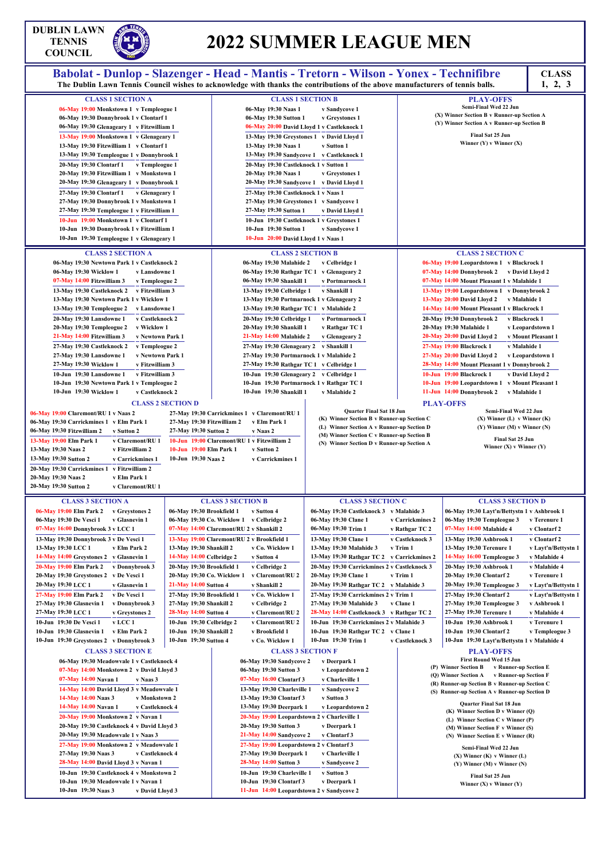## **DUBLIN LAWN TENNIS**

# **2022 SUMMER LEAGUE MEN**

| TENNIS<br><b>COUNCIL</b>                                                                                                                                                                                                                                                                                                                                                                                                                                                                                                                                                                                                                                                                                                                                                                                                                                                                                                                                                                                                                                                                                                                                                              |                                                                                                                                                                                         |                                                                                                                                                                                                                                                                                                                                                                                                                                                                                                                                                                                                                                                                                                                                                 | 2022 SUMMER LEAGUE MEN                                                                                                                                                                                                                                                                                                                      |                                                                               |                                                                                                                                                                                                                                                                                                                                                                                                                                                                                                                                                                                                                                                                                                                                                                                                                                             |                                                                                                                     |
|---------------------------------------------------------------------------------------------------------------------------------------------------------------------------------------------------------------------------------------------------------------------------------------------------------------------------------------------------------------------------------------------------------------------------------------------------------------------------------------------------------------------------------------------------------------------------------------------------------------------------------------------------------------------------------------------------------------------------------------------------------------------------------------------------------------------------------------------------------------------------------------------------------------------------------------------------------------------------------------------------------------------------------------------------------------------------------------------------------------------------------------------------------------------------------------|-----------------------------------------------------------------------------------------------------------------------------------------------------------------------------------------|-------------------------------------------------------------------------------------------------------------------------------------------------------------------------------------------------------------------------------------------------------------------------------------------------------------------------------------------------------------------------------------------------------------------------------------------------------------------------------------------------------------------------------------------------------------------------------------------------------------------------------------------------------------------------------------------------------------------------------------------------|---------------------------------------------------------------------------------------------------------------------------------------------------------------------------------------------------------------------------------------------------------------------------------------------------------------------------------------------|-------------------------------------------------------------------------------|---------------------------------------------------------------------------------------------------------------------------------------------------------------------------------------------------------------------------------------------------------------------------------------------------------------------------------------------------------------------------------------------------------------------------------------------------------------------------------------------------------------------------------------------------------------------------------------------------------------------------------------------------------------------------------------------------------------------------------------------------------------------------------------------------------------------------------------------|---------------------------------------------------------------------------------------------------------------------|
| Babolat - Dunlop - Slazenger - Head - Mantis - Tretorn - Wilson - Yonex - Technifibre                                                                                                                                                                                                                                                                                                                                                                                                                                                                                                                                                                                                                                                                                                                                                                                                                                                                                                                                                                                                                                                                                                 |                                                                                                                                                                                         |                                                                                                                                                                                                                                                                                                                                                                                                                                                                                                                                                                                                                                                                                                                                                 |                                                                                                                                                                                                                                                                                                                                             |                                                                               |                                                                                                                                                                                                                                                                                                                                                                                                                                                                                                                                                                                                                                                                                                                                                                                                                                             | <b>CLASS</b>                                                                                                        |
| The Dublin Lawn Tennis Council wishes to acknowledge with thanks the contributions of the above manufacturers of tennis balls.                                                                                                                                                                                                                                                                                                                                                                                                                                                                                                                                                                                                                                                                                                                                                                                                                                                                                                                                                                                                                                                        |                                                                                                                                                                                         |                                                                                                                                                                                                                                                                                                                                                                                                                                                                                                                                                                                                                                                                                                                                                 |                                                                                                                                                                                                                                                                                                                                             |                                                                               |                                                                                                                                                                                                                                                                                                                                                                                                                                                                                                                                                                                                                                                                                                                                                                                                                                             | 1, 2, 3                                                                                                             |
| <b>CLASS 1 SECTION A</b><br>06-May 19:00 Monkstown 1 v Templeogue 1<br>06-May 19:30 Donnybrook 1 v Clontarf 1<br>06-May 19:30 Glenageary 1 v Fitzwilliam 1<br>13-May 19:00 Monkstown 1 v Glenageary 1<br>13-May 19:30 Fitzwilliam 1 v Clontarf 1<br>13-May 19:30 Templeogue 1 v Donnybrook 1                                                                                                                                                                                                                                                                                                                                                                                                                                                                                                                                                                                                                                                                                                                                                                                                                                                                                          |                                                                                                                                                                                         | <b>CLASS 1 SECTION B</b><br>06-May 19:30 Naas 1<br>06-May 19:30 Sutton 1<br>06-May 20:00 David Lloyd 1 v Castleknock 1<br>13-May 19:30 Naas 1<br>13-May 19:30 Sandycove 1 v Castleknock 1                                                                                                                                                                                                                                                                                                                                                                                                                                                                                                                                                       | v Sandycove 1<br>v Greystones 1<br>13-May 19:30 Greystones 1 v David Lloyd 1<br>v Sutton 1                                                                                                                                                                                                                                                  |                                                                               | <b>PLAY-OFFS</b><br>Semi-Final Wed 22 Jun<br>(X) Winner Section B v Runner-up Section A<br>(Y) Winner Section A v Runner-up Section B<br>Final Sat 25 Jun<br>Winner $(Y)$ v Winner $(X)$                                                                                                                                                                                                                                                                                                                                                                                                                                                                                                                                                                                                                                                    |                                                                                                                     |
| 20-May 19:30 Clontarf 1<br>v Templeogue 1<br>20-May 19:30 Fitzwilliam 1 v Monkstown 1<br>20-May 19:30 Glenageary 1 v Donnybrook 1<br>27-May 19:30 Clontarf 1<br>v Glenageary 1<br>27-May 19:30 Donnybrook 1 v Monkstown 1<br>27-May 19:30 Templeogue 1 v Fitzwilliam 1<br>10-Jun 19:00 Monkstown 1 v Clontarf 1<br>10-Jun 19:30 Donnybrook 1 v Fitzwilliam 1<br>10-Jun 19:30 Templeogue 1 v Glenageary 1                                                                                                                                                                                                                                                                                                                                                                                                                                                                                                                                                                                                                                                                                                                                                                              |                                                                                                                                                                                         | 20-May 19:30 Castleknock 1 v Sutton 1<br>20-May 19:30 Naas 1<br>20-May 19:30 Sandycove 1 v David Lloyd 1<br>27-May 19:30 Castleknock 1 v Naas 1<br>27-May 19:30 Greystones 1 v Sandycove 1<br>27-May 19:30 Sutton 1<br>10-Jun 19:30 Castleknock 1 v Greystones 1<br>10-Jun 19:30 Sutton 1<br>10-Jun 20:00 David Lloyd 1 v Naas 1                                                                                                                                                                                                                                                                                                                                                                                                                | v Greystones 1<br>v David Lloyd 1<br>v Sandycove 1                                                                                                                                                                                                                                                                                          |                                                                               |                                                                                                                                                                                                                                                                                                                                                                                                                                                                                                                                                                                                                                                                                                                                                                                                                                             |                                                                                                                     |
|                                                                                                                                                                                                                                                                                                                                                                                                                                                                                                                                                                                                                                                                                                                                                                                                                                                                                                                                                                                                                                                                                                                                                                                       |                                                                                                                                                                                         |                                                                                                                                                                                                                                                                                                                                                                                                                                                                                                                                                                                                                                                                                                                                                 |                                                                                                                                                                                                                                                                                                                                             |                                                                               |                                                                                                                                                                                                                                                                                                                                                                                                                                                                                                                                                                                                                                                                                                                                                                                                                                             |                                                                                                                     |
| <b>CLASS 2 SECTION A</b><br>06-May 19:30 Newtown Park 1 v Castleknock 2<br>06-May 19:30 Wicklow 1<br>v Lansdowne 1<br>07-May 14:00 Fitzwilliam 3<br>v Templeogue 2<br>v Fitzwilliam 3<br>13-May 19:30 Castleknock 2<br>13-May 19:30 Newtown Park 1 v Wicklow 1<br>13-May 19:30 Templeogue 2<br>v Lansdowne 1<br>20-May 19:30 Lansdowne 1<br>v Castleknock 2<br>20-May 19:30 Templeogue 2<br>v Wicklow 1<br>21-May 14:00 Fitzwilliam 3<br>v Newtown Park 1<br>27-May 19:30 Castleknock 2<br>v Templeogue 2<br>27-May 19:30 Lansdowne 1<br>v Newtown Park 1<br>27-May 19:30 Wicklow 1<br>v Fitzwilliam 3<br>10-Jun 19:30 Lansdowne 1<br>v Fitzwilliam 3<br>10-Jun 19:30 Newtown Park 1 v Templeogue 2<br>10-Jun 19:30 Wicklow 1<br>v Castleknock 2<br><b>CLASS 2 SECTION D</b><br>06-May 19:00 Claremont/RU 1 v Naas 2<br>06-May 19:30 Carrickmines 1 v Elm Park 1<br>06-May 19:30 Fitzwilliam 2<br>v Sutton 2<br>v Claremont/RU 1<br>13-May 19:00 Elm Park 1<br>v Fitzwilliam 2<br>13-May 19:30 Naas 2<br>13-May 19:30 Sutton 2<br>v Carrickmines 1<br>20-May 19:30 Carrickmines 1 v Fitzwilliam 2<br>20-May 19:30 Naas 2<br>v Elm Park 1<br>20-May 19:30 Sutton 2<br>v Claremont/RU 1 | 27-May 19:30 Fitzwilliam 2<br>27-May 19:30 Sutton 2<br>10-Jun 19:00 Elm Park 1<br>10-Jun 19:30 Naas 2                                                                                   | <b>CLASS 2 SECTION B</b><br>06-May 19:30 Malahide 2<br>06-May 19:30 Rathgar TC 1 v Glenageary 2<br>06-May 19:30 Shankill 1<br>13-May 19:30 Celbridge 1<br>13-May 19:30 Portmarnock 1 v Glenageary 2<br>13-May 19:30 Rathgar TC 1 v Malahide 2<br>20-May 19:30 Celbridge 1<br>20-May 19:30 Shankill 1<br>21-May 14:00 Malahide 2<br>27-May 19:30 Glenageary 2 v Shankill 1<br>27-May 19:30 Portmarnock 1 v Malahide 2<br>27-May 19:30 Rathgar TC 1 v Celbridge 1<br>10-Jun 19:30 Glenageary 2 v Celbridge 1<br>10-Jun 19:30 Portmarnock 1 v Rathgar TC 1<br>10-Jun 19:30 Shankill 1<br>27-May 19:30 Carrickmines 1 v Claremont/RU 1<br>v Elm Park 1<br>v Naas 2<br>10-Jun 19:00 Claremont/RU 1 v Fitzwilliam 2<br>v Sutton 2<br>v Carrickmines 1 | v Celbridge 1<br>v Portmarnock 1<br>v Shankill 1<br>v Portmarnock 1<br>v Rathgar TC 1<br>v Glenageary 2<br>v Malahide 2<br>Quarter Final Sat 18 Jun<br>(K) Winner Section B v Runner-up Section C<br>(L) Winner Section A v Runner-up Section D<br>(M) Winner Section C v Runner-up Section B<br>(N) Winner Section D v Runner-up Section A |                                                                               | <b>CLASS 2 SECTION C</b><br>06-May 19:00 Leopardstown 1 v Blackrock 1<br>07-May 14:00 Donnybrook 2<br>07-May 14:00 Mount Pleasant 1 v Malahide 1<br>13-May 19:00 Leopardstown 1 v Donnybrook 2<br>$13$ -May $20:00$ David Lloyd 2<br>v Malahide 1<br>14-May 14:00 Mount Pleasant 1 v Blackrock 1<br>20-May 19:30 Donnybrook 2<br>v Blackrock 1<br>20-May 19:30 Malahide 1<br>20-May 20:00 David Lloyd 2<br>27-May 19:00 Blackrock 1<br>v Malahide 1<br>$27$ -May $20:00$ David Lloyd 2<br>28-May 14:00 Mount Pleasant 1 v Donnybrook 2<br>10-Jun 19:00 Blackrock 1<br>10-Jun 19:00 Leopardstown 1 v Mount Pleasant 1<br>11-Jun 14:00 Donnybrook 2<br>v Malahide 1<br><b>PLAY-OFFS</b><br>Semi-Final Wed 22 Jun<br>$(X)$ Winner $(L)$ v Winner $(K)$<br>$(Y)$ Winner $(M)$ v Winner $(N)$<br>Final Sat 25 Jun<br>Winner $(X)$ v Winner $(Y)$ | v David Lloyd 2<br>v Leopardstown 1<br>v Mount Pleasant 1<br>v Leopardstown 1<br>v David Lloyd 2                    |
| <b>CLASS 3 SECTION A</b><br>06-May 19:00 Elm Park 2<br>v Greystones 2<br>06-May 19:30 De Vesci 1<br>v Glasnevin 1<br>07-May 16:00 Donnybrook 3 v LCC 1<br>13-May 19:30 Donnybrook 3 v De Vesci 1<br>13-May 19:30 LCC 1<br>v Elm Park 2<br>14-May 14:00 Greystones 2 v Glasnevin 1<br>20-May 19:00 Elm Park 2<br>v Donnybrook 3<br>20-May 19:30 Greystones 2 v De Vesci 1                                                                                                                                                                                                                                                                                                                                                                                                                                                                                                                                                                                                                                                                                                                                                                                                              | 06-May 19:30 Brookfield 1<br>07-May 14:00 Claremont/RU 2 v Shankill 2<br>13-May 19:30 Shankill 2<br>14-May 14:00 Celbridge 2<br>20-May 19:30 Brookfield 1<br>20-May 19:30 Co. Wicklow 1 | <b>CLASS 3 SECTION B</b><br>v Sutton 4<br>06-May 19:30 Co. Wicklow 1 v Celbridge 2<br>13-May 19:00 Claremont/RU 2 v Brookfield 1<br>v Co. Wicklow 1<br>v Sutton 4<br>v Celbridge 2<br>v Claremont/RU 2                                                                                                                                                                                                                                                                                                                                                                                                                                                                                                                                          | <b>CLASS 3 SECTION C</b><br>06-May 19:30 Castleknock 3 v Malahide 3<br>06-May 19:30 Clane 1<br>06-May 19:30 Trim 1<br>13-May 19:30 Clane 1<br>13-May 19:30 Malahide 3<br>13-May 19:30 Rathgar TC 2 v Carrickmines 2<br>20-May 19:30 Carrickmines 2 v Castleknock 3<br>20-May 19:30 Clane 1                                                  | v Carrickmines 2<br>v Rathgar TC 2<br>v Castleknock 3<br>v Trim 1<br>v Trim 1 | <b>CLASS 3 SECTION D</b><br>06-May 19:30 Layt'n/Bettystn 1 v Ashbrook 1<br>06-May 19:30 Templeogue 3<br>07-May 14:00 Malahide 4<br>13-May 19:30 Ashbrook 1<br>13-May 19:30 Terenure 1<br>14-May 16:00 Templeogue 3<br>20-May 19:30 Ashbrook 1<br>20-May 19:30 Clontarf 2                                                                                                                                                                                                                                                                                                                                                                                                                                                                                                                                                                    | v Terenure 1<br>v Clontarf 2<br>v Clontarf 2<br>v Layt'n/Bettystn 1<br>v Malahide 4<br>v Malahide 4<br>v Terenure 1 |
| 20-May 19:30 LCC 1<br>v Glasnevin 1<br>27-May 19:00 Elm Park 2<br>v De Vesci 1<br>27-May 19:30 Glasnevin 1<br>v Donnybrook 3<br>27-May 19:30 LCC 1<br>v Greystones 2                                                                                                                                                                                                                                                                                                                                                                                                                                                                                                                                                                                                                                                                                                                                                                                                                                                                                                                                                                                                                  | 21-May 14:00 Sutton 4<br>27-May 19:30 Brookfield 1<br>27-May 19:30 Shankill 2<br>28-May 14:00 Sutton 4                                                                                  | v Shankill 2<br>v Co. Wicklow 1<br>v Celbridge 2<br>v Claremont/RU 2                                                                                                                                                                                                                                                                                                                                                                                                                                                                                                                                                                                                                                                                            | 20-May 19:30 Rathgar TC 2 v Malahide 3<br>27-May 19:30 Carrickmines 2 v Trim 1<br>27-May 19:30 Malahide 3<br>28-May 14:00 Castleknock 3 v Rathgar TC 2                                                                                                                                                                                      | v Clane 1                                                                     | 20-May 19:30 Templeogue 3<br>27-May 19:30 Clontarf 2<br>27-May 19:30 Templeogue 3<br>27-May 19:30 Terenure 1                                                                                                                                                                                                                                                                                                                                                                                                                                                                                                                                                                                                                                                                                                                                | v Layt'n/Bettystn 1<br>v Layt'n/Bettystn 1<br>v Ashbrook 1<br>v Malahide 4                                          |

**10-Jun 19:30 De Vesci 1 v LCC 1 10-Jun 19:30 Glasnevin 1 v Elm Park 2 10-Jun 19:30 Greystones 2 v Donnybrook 3**

**10-Jun 19:30 Celbridge 2 v Claremont/RU 2 10-Jun 19:30 Shankill 2 v Brookfield 1 10-Jun 19:30 Sutton 4 v Co. Wicklow 1**

**10-Jun 19:30 Carrickmines 2 v Malahide 3 10-Jun 19:30 Rathgar TC 2 v Clane 1 10-Jun 19:30 Trim 1 v Castleknock 3**

**10-Jun 19:30 Ashbrook 1 v Terenure 1 10-Jun 19:30 Clontarf 2 v Templeogue 3 10-Jun 19:30 Layt'n/Bettystn 1 v Malahide 4**

### **CLASS 3 SECTION E**

**06-May 19:30 Meadowvale 1 v Castleknock 4 07-May 14:00 Monkstown 2 v David Lloyd 3 07-May 14:00 Navan 1 v Naas 3 14-May 14:00 David Lloyd 3 v Meadowvale 1 14-May 14:00 Naas 3 v Monkstown 2 14-May 14:00 Navan 1 v Castleknock 4 20-May 19:00 Monkstown 2 v Navan 1 20-May 19:30 Castleknock 4 v David Lloyd 3 20-May 19:30 Meadowvale 1 v Naas 3 27-May 19:00 Monkstown 2 v Meadowvale 1 27-May 19:30 Naas 3 v Castleknock 4 28-May 14:00 David Lloyd 3 v Navan 1 10-Jun 19:30 Castleknock 4 v Monkstown 2 10-Jun 19:30 Meadowvale 1 v Navan 1 10-Jun 19:30 Naas 3 v David Lloyd 3**

### **CLASS 3 SECTION F**

| v Deerpark 1                                |
|---------------------------------------------|
| v Leopardstown 2                            |
| v Charleville 1                             |
| v Sandycove 2                               |
| v Sutton 3                                  |
| v Leopardstown 2                            |
| 20-May 19:00 Leopardstown 2 v Charleville 1 |
| v Deerpark 1                                |
| v Clontarf 3                                |
| 27-May 19:00 Leopardstown 2 v Clontarf 3    |
| v Charleville 1                             |
| v Sandycove 2                               |
| v Sutton 3                                  |
| v Deerpark 1                                |
| 11-Jun 14:00 Leopardstown 2 v Sandycove 2   |
|                                             |

### **PLAY-OFFS**

**First Round Wed 15 Jun (P) Winner Section B v Runner-up Section E (Q) Winner Section A v Runner-up Section F (R) Runner-up Section B v Runner-up Section C (S) Runner-up Section A vRunner-up Section D**

> **Quarter Final Sat 18 Jun (K) Winner Section D v Winner (Q) (L) Winner Section C v Winner (P) (M) Winner Section F v Winner (S) (N) Winner Section E v Winner (R)**

**Semi-Final Wed 22 Jun (X) Winner (K) v Winner (L) (Y) Winner (M) v Winner (N)**

**Final Sat 25 Jun Winner (X) v Winner (Y)**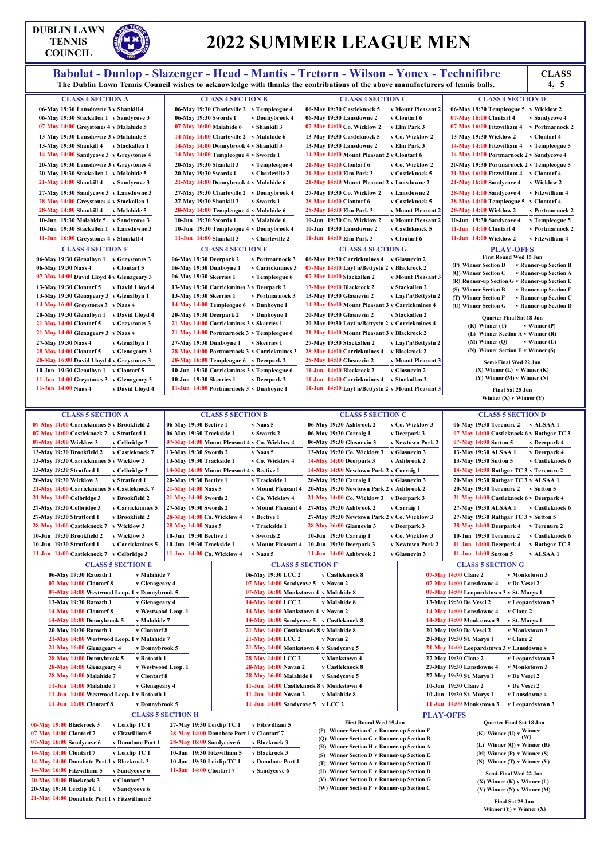### **DUBLIN LAWN TENNIS COUNCIL**

## **2022 SUMMER LEAGUE MEN**

Babolat - Dunlop - Slazenger - Head - Mantis - Tretorn - Wilson - Yonex - Technifibre<br>The Dublin Lawn Tennis Council wishes to acknowledge with thanks the contributions of the above manufacturers of tennis balls. 4, 5

|                                                                                        | The Dublin Lawn Tennis Council wishes to acknowledge with thanks the contributions of the above manufacturers of tennis balls. |                                                                                     | 4, 5                                                                      |
|----------------------------------------------------------------------------------------|--------------------------------------------------------------------------------------------------------------------------------|-------------------------------------------------------------------------------------|---------------------------------------------------------------------------|
| <b>CLASS 4 SECTION A</b>                                                               | <b>CLASS 4 SECTION B</b>                                                                                                       | <b>CLASS 4 SECTION C</b>                                                            | <b>CLASS 4 SECTION D</b>                                                  |
| 06-May 19:30 Lansdowne 3 v Shankill 4                                                  | 06-May 19:30 Charleville 2 v Templeogue 4                                                                                      | 06-May 19:30 Castleknock 5<br>v Mount Pleasant 2                                    | 06-May 19:30 Templeogue 5 v Wicklow 2                                     |
| 06-May 19:30 Stackallen 1 v Sandycove 3                                                | 06-May 19:30 Swords 1<br>v Donnybrook 4                                                                                        | 06-May 19:30 Lansdowne 2<br>v Clontarf 6                                            | 07-May 16:00 Clontarf 4<br>v Sandycove 4                                  |
| 07-May 14:00 Greystones 4 v Malahide 5                                                 | 07-May 16:00 Malahide 6<br>v Shankill 3                                                                                        | 07-May 14:00 Co. Wicklow 2<br>v Elm Park 3                                          | 07-May 16:00 Fitzwilliam 4<br>v Portmarnock 2                             |
| 13-May 19:30 Lansdowne 3 v Malahide 5                                                  | 14-May 14:00 Charleville 2 v Malahide 6                                                                                        | v Co. Wicklow 2<br>13-May 19:30 Castleknock 5                                       | v Clontarf 4<br>13-May 19:30 Wicklow 2                                    |
| 13-May 19:30 Shankill 4 v Stackallen 1                                                 | 14-May 14:00 Donnybrook 4 v Shankill 3                                                                                         | 13-May 19:30 Lansdowne 2<br>v Elm Park 3                                            | 14-May 14:00 Fitzwilliam 4 v Templeogue 5                                 |
| 14-May 14:00 Sandycove 3 v Greystones 4                                                | 14-May 14:00 Templeogue 4 v Swords 1                                                                                           | 14-May 14:00 Mount Pleasant 2 v Clontarf 6                                          | 14-May 14:00 Portmarnock 2 v Sandycove 4                                  |
| 20-May 19:30 Lansdowne 3 v Greystones 4                                                | 20-May 19:30 Shankill 3<br>v Templeogue 4                                                                                      | 21-May 14:00 Clontarf 6<br>v Co. Wicklow 2                                          | 20-May 19:30 Portmarnock 2 v Templeogue 5                                 |
| 20-May 19:30 Stackallen 1 v Malahide 5                                                 | 20-May 19:30 Swords 1<br>v Charleville 2                                                                                       | v Castleknock 5<br>21-May 14:00 Elm Park 3                                          | 21-May 16:00 Fitzwilliam 4 v Clontarf 4                                   |
| 21-May 14:00 Shankill 4 v Sandycove 3                                                  | 21-May 14:00 Donnybrook 4 v Malahide 6                                                                                         | 21-May 14:00 Mount Pleasant 2 v Lansdowne 2                                         | 21-May 16:00 Sandycove 4<br>v Wicklow 2                                   |
| 27-May 19:30 Sandycove 3 v Lansdowne 3                                                 | 27-May 19:30 Charleville 2 v Donnybrook 4                                                                                      | 27-May 19:30 Co. Wicklow 2<br>v Lansdowne 2                                         | 28-May 14:00 Sandycove 4<br>v Fitzwilliam 4                               |
| 28-May 14:00 Greystones 4 v Stackallen 1                                               | 27-May 19:30 Shankill 3<br>v Swords 1                                                                                          | <b>28-May 14:00 Clontarf 6</b><br>v Castleknock 5                                   | 28-May 14:00 Templeogue 5 v Clontarf 4                                    |
| 28-May 14:00 Shankill 4<br>v Malahide 5                                                | 28-May 14:00 Templeogue 4 v Malahide 6                                                                                         | 28-May 14:00 Elm Park 3<br>v Mount Pleasant 2                                       | 28-May 14:00 Wicklow 2<br>v Portmarnock 2                                 |
| 10-Jun 19:30 Malahide 5 v Sandycove 3                                                  | 10-Jun 19:30 Swords 1<br>v Malahide 6                                                                                          | v Mount Pleasant 2<br>10-Jun 19:30 Co. Wicklow 2                                    | 10-Jun 19:30 Sandycove 4<br>v Templeogue 5                                |
| 10-Jun 19:30 Stackallen 1 v Lansdowne 3                                                | 10-Jun 19:30 Templeogue 4 v Donnybrook 4                                                                                       | 10-Jun 19:30 Lansdowne 2<br>v Castleknock 5                                         | 11-Jun 14:00 Clontarf 4<br>v Portmarnock 2                                |
| 11-Jun 16:00 Greystones 4 v Shankill 4                                                 | 11-Jun 14:00 Shankill 3<br>v Charleville 2                                                                                     | 11-Jun 14:00 Elm Park 3<br>v Clontarf 6                                             | 11-Jun 14:00 Wicklow 2<br>v Fitzwilliam 4                                 |
|                                                                                        |                                                                                                                                |                                                                                     |                                                                           |
| <b>CLASS 4 SECTION E</b>                                                               | <b>CLASS 4 SECTION F</b>                                                                                                       | <b>CLASS 4 SECTION G</b>                                                            | <b>PLAY-OFFS</b><br><b>First Round Wed 15 Jun</b>                         |
| 06-May 19:30 Glenalbyn 1 v Greystones 3                                                | 06-May 19:30 Deerpark 2<br>v Portmarnock 3                                                                                     | 06-May 19:30 Carrickmines 4 v Glasnevin 2                                           | (P) Winner Section D<br>v Runner-up Section B                             |
| v Clontarf 5<br>06-May 19:30 Naas 4                                                    | 06-May 19:30 Dunboyne 1<br>v Carrickmines 3                                                                                    | 07-May 14:00 Layt'n/Bettystn 2 v Blackrock 2                                        | v Runner-up Section A<br>(Q) Winner Section C                             |
| 07-May 14:00 David Lloyd 4 v Glenageary 3                                              | 06-May 19:30 Skerries 1<br>v Templeogue 6                                                                                      | 07-May 14:00 Stackallen 2<br>v Mount Pleasant 3                                     | (R) Runner-up Section G v Runner-up Section E                             |
| 13-May 19:30 Clontarf 5<br>v David Lloyd 4                                             | 13-May 19:30 Carrickmines 3 v Deerpark 2                                                                                       | 13-May 19:00 Blackrock 2<br>v Stackallen 2                                          | (S) Winner Section B<br>v Runner-up Section F                             |
| 13-May 19:30 Glenageary 3 v Glenalbyn 1                                                | 13-May 19:30 Skerries 1<br>v Portmarnock 3                                                                                     | v Layt'n/Bettystn 2<br>13-May 19:30 Glasnevin 2                                     | (T) Winner Section F<br>v Runner-up Section C                             |
| 14-May 16:00 Greystones 3 v Naas 4                                                     | 14-May 14:00 Templeogue 6 v Dunboyne 1                                                                                         | 14-May 16:00 Mount Pleasant 3 v Carrickmines 4                                      | (U) Winner Section G<br>v Runner-up Section D                             |
| 20-May 19:30 Glenalbyn 1<br>v David Lloyd 4                                            | 20-May 19:30 Deerpark 2<br>v Dunbovne 1                                                                                        | 20-May 19:30 Glasnevin 2<br>v Stackallen 2                                          | <b>Quarter Final Sat 18 Jun</b>                                           |
| 21-May 14:00 Clontarf 5<br>v Greystones 3                                              | 21-May 14:00 Carrickmines 3 v Skerries 1                                                                                       | 20-May 19:30 Layt'n/Bettystn 2 v Carrickmines 4                                     | $(K)$ Winner $(T)$<br>$v$ Winner (P)                                      |
| 21-May 14:00 Glenageary 3 v Naas 4                                                     | 21-May 14:00 Portmarnock 3 v Templeogue 6                                                                                      | 21-May 14:00 Mount Pleasant 3 v Blackrock 2                                         | (L) Winner Section A v Winner (R)                                         |
| 27-May 19:30 Naas 4<br>v Glenalbyn 1                                                   | 27-May 19:30 Dunboyne 1<br>v Skerries 1                                                                                        | 27-May 19:30 Stackallen 2<br>v Layt'n/Bettystn 2                                    | $(M)$ Winner $(Q)$<br>$v$ Winner (U)                                      |
| <b>28-May 14:00 Clontarf 5</b><br>v Glenageary 3                                       | 28-May 14:00 Portmarnock 3 v Carrickmines 3                                                                                    | 28-May 14:00 Carrickmines 4<br>v Blackrock 2                                        | (N) Winner Section E v Winner (S)                                         |
| 28-May 16:00 David Lloyd 4 v Greystones 3                                              | 28-May 16:00 Templeogue 6 v Deerpark 2                                                                                         | 28-May 14:00 Glasnevin 2<br>v Mount Pleasant 3                                      | Semi-Final Wed 22 Jun                                                     |
| 10-Jun 19:30 Glenalbyn 1 v Clontarf 5                                                  | 10-Jun 19:30 Carrickmines 3 v Templeogue 6                                                                                     | 11-Jun 14:00 Blackrock 2<br>v Glasnevin 2                                           | $(X)$ Winner $(L)$ v Winner $(K)$                                         |
| 11-Jun 14:00 Greystones 3 v Glenageary 3                                               | 10-Jun 19:30 Skerries 1<br>v Deerpark 2                                                                                        | 11-Jun 14:00 Carrickmines 4 v Stackallen 2                                          | $(Y)$ Winner $(M)$ v Winner $(N)$                                         |
| 11-Jun $14:00$ Naas 4<br>v David Lloyd 4                                               | 11-Jun 14:00 Portmarnock 3 v Dunboyne 1                                                                                        | 11-Jun 14:00 Layt'n/Bettystn 2 v Mount Pleasant 3                                   | Final Sat 25 Jun                                                          |
|                                                                                        |                                                                                                                                |                                                                                     | Winner $(X)$ v Winner $(Y)$                                               |
| <b>CLASS 5 SECTION A</b>                                                               | <b>CLASS 5 SECTION B</b>                                                                                                       | <b>CLASS 5 SECTION C</b>                                                            | <b>CLASS 5 SECTION D</b>                                                  |
| 07-May 14:00 Carrickmines 5 v Brookfield 2                                             | 06-May 19:30 Bective 1<br>v Naas 5                                                                                             | 06-May 19:30 Ashbrook 2<br>v Co. Wicklow 3                                          | 06-May 19:30 Terenure 2<br>v ALSAA 1                                      |
| 07-May 14:00 Castleknock 7 v Stratford 1                                               | 06-May 19:30 Trackside 1<br>v Swords 2                                                                                         | 06-May 19:30 Carraig 1<br>v Deerpark 3                                              | 07-May 14:00 Castleknock 6 v Rathgar TC 3                                 |
| 07-May 14:00 Wicklow 3<br>v Celbridge 3                                                | 07-May 14:00 Mount Pleasant 4 v Co. Wicklow 4                                                                                  | 06-May 19:30 Glasnevin 3<br>v Newtown Park 2                                        | 07-May 14:00 Sutton 5<br>v Deerpark 4                                     |
| 13-May 19:30 Brookfield 2<br>v Castleknock 7                                           | 13-May 19:30 Swords 2<br>v Naas 5                                                                                              | v Glasnevin 3<br>13-May 19:30 Co. Wicklow 3                                         | 13-May 19:30 ALSAA 1<br>v Deerpark 4                                      |
| 13-May 19:30 Carrickmines 5 v Wicklow 3                                                | 13-May 19:30 Trackside 1<br>v Co. Wicklow 4                                                                                    | 14-May 14:00 Deerpark 3<br>v Ashbrook 2                                             | 13-May 19:30 Sutton 5<br>v Castleknock 6                                  |
| 13-May 19:30 Stratford 1<br>v Celbridge 3                                              | 14-May 16:00 Mount Pleasant 4 v Bective 1                                                                                      | 14-May 14:00 Newtown Park 2 v Carraig 1                                             | 14-May 14:00 Rathgar TC 3 v Terenure 2                                    |
|                                                                                        | v Trackside 1                                                                                                                  |                                                                                     |                                                                           |
| 20-May 19:30 Wicklow 3<br>v Stratford 1<br>21-May 14:00 Carrickmines 5 v Castleknock 7 | 20-May 19:30 Bective 1<br>v Mount Pleasant 4<br>21-May 14:00 Naas 5                                                            | 20-May 19:30 Carraig 1<br>v Glasnevin 3<br>20-May 19:30 Newtown Park 2 v Ashbrook 2 | 20-May 19:30 Rathgar TC 3 v ALSAA 1<br>20-May 19:30 Terenure 2 v Sutton 5 |
| 21-May 14:00 Celbridge 3<br>v Brookfield 2                                             | 21-May 14:00 Swords 2<br>v Co. Wicklow 4                                                                                       | 21-May 14:00 Co. Wicklow 3 v Deerpark 3                                             | 21-May 14:00 Castleknock 6 v Deerpark 4                                   |
|                                                                                        |                                                                                                                                |                                                                                     |                                                                           |
| 27-May 19:30 Celbridge 3<br>v Carrickmines 5                                           | 27-May 19:30 Swords 2<br>v Mount Pleasant 4                                                                                    | 27-May 19:30 Ashbrook 2<br>v Carraig 1                                              | 27-May 19:30 ALSAA 1<br>v Castleknock 6                                   |
| 27-May 19:30 Stratford 1<br>v Brookfield 2                                             | 28-May 14:00 Co. Wicklow 4<br>v Bective 1                                                                                      | 27-May 19:30 Newtown Park 2 v Co. Wicklow 3                                         | 27-May 19:30 Rathgar TC 3 v Sutton 5                                      |
| 28-May 14:00 Castleknock 7<br>v Wicklow 3                                              | 28-May 14:00 Naas 5<br>v Trackside 1                                                                                           | 28-May 16:00 Glasnevin 3<br>v Deerpark 3                                            | 28-May 14:00 Deerpark 4<br>v Terenure 2                                   |
| 10-Jun 19:30 Brookfield 2<br>v Wicklow 3                                               | 10-Jun 19:30 Bective 1<br>v Swords 2                                                                                           | 10-Jun 19:30 Carraig 1<br>v Co. Wicklow 3                                           | 10-Jun 19:30 Terenure 2<br>v Castleknock 6                                |

**10-Jun 19:30 Stratford 1 v Carrickmines 5**

**10-Jun 19:30 Trackside 1 v Mount Pleasant 4**

**11-Jun 14:00 Co. Wicklow 4 v Naas 5**

### **11-Jun 14:00 Castleknock 7 v Celbridge 3 CLASS 5 SECTION E**

**10-Jun 19:30 Deerpark 3 v Newtown Park 2 11-Jun 14:00 Ashbrook 2 v Glasnevin 3**

|  | 06-May 19:30 Ratoath 1                       | v Malahide 7       |
|--|----------------------------------------------|--------------------|
|  | 07-May 14:00 Clontarf 8                      | v Glenageary 4     |
|  | 07-May 14:00 Westwood Leop. 1 v Donnybrook 5 |                    |
|  | 13-May 19:30 Ratoath 1                       | v Glenageary 4     |
|  | <b>14-May 14:00 Clontarf 8</b>               | v Westwood Leop. 1 |
|  | 14-May 16:00 Donnybrook 5                    | v Malahide 7       |
|  | 20-May 19:30 Ratoath 1                       | v Clontarf 8       |
|  | 21-May 14:00 Westwood Leop. 1 v Malahide 7   |                    |
|  | 21-May 16:00 Glenageary 4                    | v Donnybrook 5     |
|  | 28-May 14:00 Donnybrook 5                    | v Ratoath 1        |
|  | 28-May 14:00 Glenageary 4                    | v Westwood Leop. 1 |
|  | 28-May 14:00 Malahide 7                      | v Clontarf 8       |
|  | 11-Jun 14:00 Malahide 7                      | v Glenageary 4     |
|  | 11-Jun 14:00 Westwood Leop. 1 v Ratoath 1    |                    |
|  | 11-Jun 16:00 Clontarf 8                      | v Donnybrook 5     |

|                       | 00-1914) 19.30 Telenule 2 — V ALSAA I   |                                           |
|-----------------------|-----------------------------------------|-------------------------------------------|
|                       |                                         | 07-May 14:00 Castleknock 6 v Rathgar TC 3 |
| 07-May 14:00 Sutton 5 |                                         | v Deerpark 4                              |
| 13-May 19:30 ALSAA 1  |                                         | v Deerpark 4                              |
| 13-May 19:30 Sutton 5 |                                         | v Castleknock 6                           |
|                       | 14-May 14:00 Rathgar TC 3 v Terenure 2  |                                           |
|                       | 20-May 19:30 Rathgar TC 3 v ALSAA 1     |                                           |
|                       | 20-May 19:30 Terenure 2 v Sutton 5      |                                           |
|                       | 21-May 14:00 Castleknock 6 v Deerpark 4 |                                           |
|                       |                                         | 27-May 19:30 ALSAA 1 v Castleknock 6      |
|                       | 27-May 19:30 Rathgar TC 3 v Sutton 5    |                                           |
|                       | 28-May 14:00 Deerpark 4 v Terenure 2    |                                           |
|                       |                                         | 10-Jun 19:30 Terenure 2 v Castleknock 6   |
|                       | 11-Jun 14:00 Deerpark 4                 | v Rathgar TC 3                            |
| 11-Jun 14:00 Sutton 5 |                                         | v ALSAA 1                                 |
|                       | <b>CLASS 5 SECTION G</b>                |                                           |
| :00 Clane 2           | v Monkstown 3                           |                                           |
|                       |                                         |                                           |

**CLASS 5 SECTION F**

**06-May 19:30 LCC 2 v Castleknock 8 07-May 14:00 Sandycove 5 v Navan 2 07-May 16:00 Monkstown 4 v Malahide 8 14-May 16:00 LCC 2 v Malahide 8 14-May 16:00 Monkstown 4 v Navan 2 14-May 16:00 Sandycove 5 v Castleknock 8 21-May 14:00 Castleknock 8 v Malahide 8 21-May 14:00 LCC 2 v Navan 2**

|                    | 21-May 14:00 Monkstown 4 v Sandycove 5   |                 |
|--------------------|------------------------------------------|-----------------|
| 28-May 14:00 LCC 2 |                                          | v Monkstown 4   |
|                    | 28-May 14:00 Navan 2                     | v Castleknock 8 |
|                    | 28-May 16:00 Malahide 8                  | v Sandycove 5   |
|                    | 11-Jun 14:00 Castleknock 8 v Monkstown 4 |                 |
|                    | 11-Jun 14:00 Navan 2                     | v Malahide 8    |
|                    | 11-Jun 14:00 Sandycove 5 v LCC 2         |                 |

|  | 07-May 14:00 Clane 2                      | v Monkstown 3    |
|--|-------------------------------------------|------------------|
|  | 07-May 14:00 Lansdowne 4                  | v De Vesci 2     |
|  | 07-May 14:00 Leopardstown 3 v St. Marys 1 |                  |
|  | 13-May 19:30 De Vesci 2                   | v Leopardstown 3 |
|  | 14-May 14:00 Lansdowne 4                  | v Clane 2        |
|  | 14-May 14:00 Monkstown 3                  | v St. Marys 1    |
|  | 20-May 19:30 De Vesci 2                   | v Monkstown 3    |
|  | 20-May 19:30 St. Marys 1                  | v Clane 2        |
|  |                                           |                  |

### **21-May 14:00 Leopardstown 3 v Lansdowne 4 27-May 19:30 Clane 2 v Leopardstown 3 27-May 19:30 Lansdowne 4 v Monkstown 3 27-May 19:30 St. Marys 1 v De Vesci 2 10-Jun 19:30 Clane 2 v De Vesci 2 10-Jun 19:30 St. Marys 1 v Lansdowne 4 11-Jun 14:00 Monkstown 3 v Leopardstown 3**

### **CLASS 5 SECTION H**

|  | 06-May 19:00 Blackrock 3                     | v Leixlip TC 1    | 2              |
|--|----------------------------------------------|-------------------|----------------|
|  | 07-May 14:00 Clontarf 7                      | v Fitzwilliam 5   | 2              |
|  | 07-May 16:00 Sandycove 6                     | v Donabate Port 1 | $\overline{2}$ |
|  | 14-May 14:00 Clontarf 7                      | v Leixlip TC 1    | 1              |
|  | 14-May 14:00 Donabate Port 1 v Blackrock 3   |                   | 1              |
|  | 14-May 16:00 Fitzwilliam 5                   | v Sandvcove 6     | 1              |
|  | 20-May 19:00 Blackrock 3                     | v Clontarf 7      |                |
|  | 20-May 19:30 Leixlip TC 1                    | v Sandycove 6     |                |
|  | 21-May 14:00 Donabate Port 1 v Fitzwilliam 5 |                   |                |

| 27-May 19:30 Leixlip TC 1                 | v Fitzwilliam 5   |
|-------------------------------------------|-------------------|
| 28-May 14:00 Donabate Port 1 v Clontarf 7 |                   |
| 28-May 16:00 Sandycove 6                  | v Blackrock 3     |
| 10-Jun 19:30 Fitzwilliam 5                | v Blackrock 3     |
| 10-Jun 19:30 Leixlip TC 1                 | v Donabate Port 1 |
| 11-Jun 14:00 Clontarf 7                   | v Sandycove 6     |
|                                           |                   |

### **PLAY-OFFS**

**First Round Wed 15 Jun (P) Winner Section C v Runner-up Section F (Q) Winner Section G v Runner-up Section B (R) Winner Section H v Runner-up Section A (S) Winner Section D v Runner-up Section E (T) Winner Section A v Runner-up Section H (U) Winner Section E v Runner-up Section D (V) Winner Section B v Runner-up Section G (W) Winner Section F v Runner-up Section C**

**Quarter Final Sat 18 Jun (K)** Winner **(U) v**  $\frac{\text{Winner}}{\text{(W)}}$ **(L) Winner (Q) v Winner (R) (M) Winner (P) v Winner (S) (N) Winner (T) v Winner (V)**

**Semi-Final Wed 22 Jun (X) Winner (K) v Winner (L) (Y) Winner (N) v Winner (M)**

**Final Sat 25 Jun Winner (Y) v Winner (X)**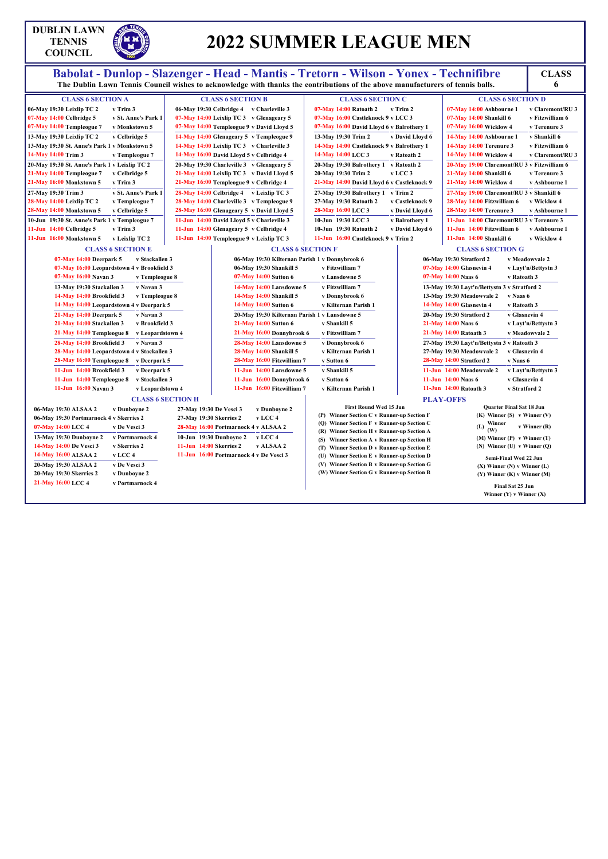### **DUBLIN LAWN TENNIS COUNCIL**

## **2022 SUMMER LEAGUE MEN**

# Babolat - Dunlop - Slazenger - Head - Mantis - Tretorn - Wilson - Yonex - Technifibre<br>The Dublin Lawn Tennis Council wishes to acknowledge with thanks the contributions of the above manufacturers of tennis balls.

**6**

| <b>CLASS 6 SECTION A</b>                      |                     |
|-----------------------------------------------|---------------------|
| 06-May 19:30 Leixlip TC 2                     | v Trim 3            |
| 07-May 14:00 Celbridge 5                      | v St. Anne's Park 1 |
| 07-May 14:00 Templeogue 7                     | v Monkstown 5       |
| 13-May 19:30 Leixlip TC 2                     | v Celbridge 5       |
| 13-May 19:30 St. Anne's Park 1 v Monkstown 5  |                     |
| 14-May 14:00 Trim 3                           | v Templeogue 7      |
| 20-May 19:30 St. Anne's Park 1 v Leixlip TC 2 |                     |
| 21-May 14:00 Templeogue 7                     | v Celbridge 5       |
| 21-May 16:00 Monkstown 5                      | v Trim 3            |
| 27-May 19:30 Trim 3                           | v St. Anne's Park 1 |
| 28-May 14:00 Leixlip TC 2                     | v Templeogue 7      |
| 28-May 14:00 Monkstown 5                      | v Celbridge 5       |
| 10-Jun 19:30 St. Anne's Park 1 v Templeogue 7 |                     |
| $11$ -Jun $14:00$ Celbridge 5                 | v Trim 3            |
| 11-Jun 16:00 Monkstown 5                      | v Leixlip TC 2      |

**CLASS 6 SECTION B**

**06-May 19:30 Celbridge 4 v Charleville 3 07-May 14:00 Leixlip TC 3 v Glenageary 5 07-May 14:00 Templeogue 9 v David Lloyd 5 14-May 14:00 Glenageary 5 v Templeogue 9 14-May 14:00 Leixlip TC 3 v Charleville 3 14-May 16:00 David Lloyd 5 v Celbridge 4 20-May 19:30 Charleville 3 v Glenageary 5 21-May 14:00 Leixlip TC 3 v David Lloyd 5 21-May 16:00 Templeogue 9 v Celbridge 4 28-May 14:00 Celbridge 4 v Leixlip TC 3 28-May 14:00 Charleville 3 v Templeogue 9 28-May 16:00 Glenageary 5 v David Lloyd 5 11-Jun 14:00 David Lloyd 5 v Charleville 3 11-Jun 14:00 Glenageary 5 v Celbridge 4 11-Jun 14:00 Templeogue 9 v Leixlip TC 3**

|                     | <b>CLASS 6 SECTION C</b>              |                                            |
|---------------------|---------------------------------------|--------------------------------------------|
|                     | $07-May$ 14:00 Ratoath 2 v Trim 2     |                                            |
|                     | 07-May 16:00 Castleknock 9 v LCC 3    |                                            |
|                     |                                       | 07-May 16:00 David Lloyd 6 v Balrothery 1  |
|                     |                                       | 13-May 19:30 Trim 2 v David Lloyd 6        |
|                     |                                       | 14-May 14:00 Castleknock 9 v Balrothery 1  |
|                     | 14-May 14:00 LCC 3                    | v Ratoath 2                                |
|                     | 20-May 19:30 Balrothery 1 v Ratoath 2 |                                            |
| 20-May 19:30 Trim 2 |                                       | $_{\rm V}$ LCC 3                           |
|                     |                                       | 21-May 14:00 David Lloyd 6 v Castleknock 9 |
|                     | 27-May 19:30 Balrothery 1 v Trim 2    |                                            |
|                     | 27-May 19:30 Ratoath 2                | v Castleknock 9                            |
| 28-May 16:00 LCC 3  |                                       | v David Lloyd 6                            |
| 10-Jun 19:30 LCC 3  |                                       | v Balrothery 1                             |
|                     | 10-Jun 19:30 Ratoath 2                | v David Lloyd 6                            |
|                     | 11-Jun 16:00 Castleknock 9 v Trim 2   |                                            |
|                     |                                       |                                            |

### **CLASS 6 SECTION D 07-May 14:00 Ashbourne 1 v Claremont/RU 3 07-May 14:00 Shankill 6 v Fitzwilliam 6 07-May 16:00 Wicklow 4 v Terenure 3 14-May 14:00 Ashbourne 1 v Shankill 6 14-May 14:00 Terenure 3 v Fitzwilliam 6 14-May 14:00 Wicklow 4 v Claremont/RU 3 20-May 19:00 Claremont/RU 3 v Fitzwilliam 6 21-May 14:00 Shankill 6 v Terenure 3 21-May 14:00 Wicklow 4 v Ashbourne 1 27-May 19:00 Claremont/RU 3 v Shankill 6 28-May 14:00 Fitzwilliam 6 v Wicklow 4 28-May 14:00 Terenure 3 v Ashbourne 1 11-Jun 14:00 Claremont/RU 3 v Terenure 3 11-Jun 14:00 Fitzwilliam 6 v Ashbourne 1 11-Jun 14:00 Shankill 6 v Wicklow 4**

### **CLASS 6 SECTION E**

|  | 07-May 14:00 Deerpark 5                    | v Stackallen 3   |
|--|--------------------------------------------|------------------|
|  | 07-May 16:00 Leopardstown 4 v Brookfield 3 |                  |
|  | 07-May 16:00 Navan 3                       | v Templeogue 8   |
|  | 13-May 19:30 Stackallen 3                  | v Navan 3        |
|  | 14-May 14:00 Brookfield 3                  | v Templeogue 8   |
|  | 14-May 14:00 Leopardstown 4 v Deerpark 5   |                  |
|  | 21-May 14:00 Deerpark 5                    | v Navan 3        |
|  | 21-May 14:00 Stackallen 3                  | v Brookfield 3   |
|  | 21-May 14:00 Templeogue 8                  | v Leopardstown 4 |
|  | 28-May 14:00 Brookfield 3                  | v Navan 3        |
|  | 28-May 14:00 Leopardstown 4 v Stackallen 3 |                  |
|  | 28-May 16:00 Templeogue 8                  | v Deerpark 5     |
|  | 11-Jun 14:00 Brookfield 3                  | v Deerpark 5     |
|  | 11-Jun 14:00 Templeogue 8                  | v Stackallen 3   |
|  | 11-Jun 16:00 Navan 3                       | v Leopardstown 4 |
|  |                                            |                  |

**CLASS 6 SECTION F 06-May 19:30 Kilternan Parish 1 v Donnybrook 6 06-May 19:30 Shankill 5 v Fitzwilliam 7 07-May 14:00 Sutton 6 v Lansdowne 5 14-May 14:00 Lansdowne 5 v Fitzwilliam 7 14-May 14:00 Shankill 5 v Donnybrook 6 14-May 14:00 Sutton 6 v Kilternan Parish 1 20-May 19:30 Kilternan Parish 1 v Lansdowne 5 21-May 14:00 Sutton 6 v Shankill 5 21-May 16:00 Donnybrook 6 v Fitzwilliam 7 28-May 14:00 Lansdowne 5 v Donnybrook 6 28-May 14:00 Shankill 5 v Kilternan Parish 1**

**28-May 16:00 Fitzwilliam 7 v Sutton 6 11-Jun 14:00 Lansdowne 5 v Shankill 5 11-Jun 16:00 Donnybrook 6 v Sutton 6**

**11-Jun 16:00 Fitzwilliam 7 v Kilternan Parish 1**

### **CLASS 6 SECTION G**

| 06-May 19:30 Stratford 2                     | v Meadowvale 2      |
|----------------------------------------------|---------------------|
| 07-May 14:00 Glasnevin 4                     | v Layt'n/Bettystn 3 |
| 07-May 14:00 Naas 6                          | v Ratoath 3         |
| 13-May 19:30 Layt'n/Bettystn 3 v Stratford 2 |                     |
| 13-May 19:30 Meadowyale 2                    | v Naas 6            |
| 14-May 14:00 Glasnevin 4                     | v Ratoath 3         |
| 20-May 19:30 Stratford 2                     | v Glasnevin 4       |
| 21-May 14:00 Naas 6                          | v Layt'n/Bettystn 3 |
| 21-May 14:00 Ratoath 3                       | v Meadowvale 2      |
| 27-May 19:30 Layt'n/Bettystn 3 v Ratoath 3   |                     |
| 27-May 19:30 Meadowvale 2                    | v Glasnevin 4       |
| 28-May 14:00 Stratford 2                     | v Naas 6            |
| 11-Jun 14:00 Meadowyale 2                    | v Layt'n/Bettystn 3 |
| 11-Jun 14:00 Naas 6                          | v Glasnevin 4       |
| $11$ -Jun $14:00$ Ratoath 3                  | v Stratford 2       |
|                                              |                     |

### **CLASS 6 SECTION H**

|  |                                                                                                                                                                                                   | v Dunboyne 2                            |
|--|---------------------------------------------------------------------------------------------------------------------------------------------------------------------------------------------------|-----------------------------------------|
|  |                                                                                                                                                                                                   |                                         |
|  |                                                                                                                                                                                                   | v De Vesci 3                            |
|  |                                                                                                                                                                                                   | v Portmarnock 4                         |
|  |                                                                                                                                                                                                   | v Skerries 2                            |
|  |                                                                                                                                                                                                   | v LCC 4                                 |
|  |                                                                                                                                                                                                   | v De Vesci 3                            |
|  |                                                                                                                                                                                                   | v Dunboyne 2                            |
|  |                                                                                                                                                                                                   | v Portmarnock 4                         |
|  | 06-May 19:30 ALSAA 2<br>07-May 14:00 LCC 4<br>13-May 19:30 Dunboyne 2<br>14-May 14:00 De Vesci 3<br>14-May 16:00 ALSAA 2<br>20-May 19:30 ALSAA 2<br>20-May 19:30 Skerries 2<br>21-May 16:00 LCC 4 | 06-May 19:30 Portmarnock 4 v Skerries 2 |

**27-May 19:30 De Vesci 3 v Dunboyne 2 27-May 19:30 Skerries 2 v LCC 4 28-May 16:00 Portmarnock 4 v ALSAA 2 10-Jun 19:30 Dunboyne 2 v LCC 4 11-Jun 14:00 Skerries 2 v ALSAA 2 11-Jun 16:00 Portmarnock 4 v De Vesci 3**

### **PLAY-OFFS**

| <b>First Round Wed 15 Jun</b>              | <b>Ouarter Final Sat 18 Jun</b>   |
|--------------------------------------------|-----------------------------------|
| (P) Winner Section C v Runner-up Section F | $(K)$ Winner $(S)$ v Winner $(V)$ |
| (O) Winner Section F v Runner-up Section C | Winner<br>(L)<br>$v$ Winner $(R)$ |
| (R) Winner Section H v Runner-up Section A | (W)                               |
| (S) Winner Section A v Runner-up Section H | $(M)$ Winner $(P)$ v Winner $(T)$ |
| (T) Winner Section D v Runner-up Section E | $(N)$ Winner $(U)$ v Winner $(O)$ |
| (U) Winner Section E v Runner-up Section D | Semi-Final Wed 22 Jun             |
| (V) Winner Section B v Runner-up Section G | $(X)$ Winner $(N)$ v Winner $(L)$ |
| (W) Winner Section G v Runner-up Section B | $(Y)$ Winner $(K)$ v Winner $(M)$ |
|                                            | <b>Final Sat 25 Jun</b>           |
|                                            | Winner $(Y)$ v Winner $(X)$       |